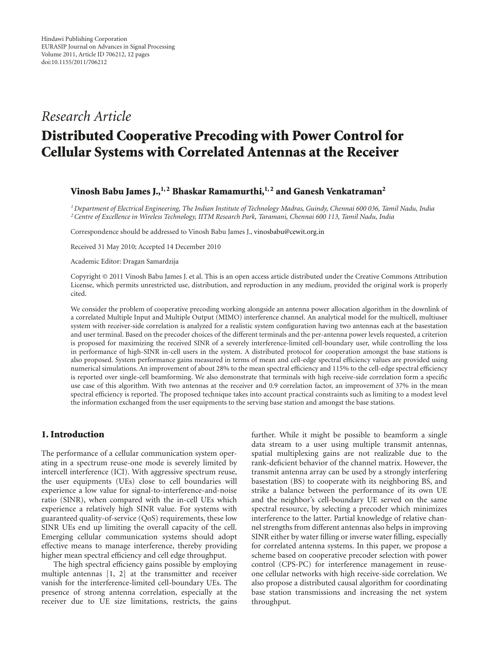## *Research Article*

# **Distributed Cooperative Precoding with Power Control for Cellular Systems with Correlated Antennas at the Receiver**

## **Vinosh Babu James J.,**<sup>1,2</sup> **Bhaskar Ramamurthi,**<sup>1,2</sup> and Ganesh Venkatraman<sup>2</sup>

*1Department of Electrical Engineering, The Indian Institute of Technology Madras, Guindy, Chennai 600 036, Tamil Nadu, India 2Centre of Excellence in Wireless Technology, IITM Research Park, Taramani, Chennai 600 113, Tamil Nadu, India*

Correspondence should be addressed to Vinosh Babu James J., vinosbabu@cewit.org.in

Received 31 May 2010; Accepted 14 December 2010

Academic Editor: Dragan Samardzija

Copyright © 2011 Vinosh Babu James J. et al. This is an open access article distributed under the Creative Commons Attribution License, which permits unrestricted use, distribution, and reproduction in any medium, provided the original work is properly cited.

We consider the problem of cooperative precoding working alongside an antenna power allocation algorithm in the downlink of a correlated Multiple Input and Multiple Output (MIMO) interference channel. An analytical model for the multicell, multiuser system with receiver-side correlation is analyzed for a realistic system configuration having two antennas each at the basestation and user terminal. Based on the precoder choices of the different terminals and the per-antenna power levels requested, a criterion is proposed for maximizing the received SINR of a severely interference-limited cell-boundary user, while controlling the loss in performance of high-SINR in-cell users in the system. A distributed protocol for cooperation amongst the base stations is also proposed. System performance gains measured in terms of mean and cell-edge spectral efficiency values are provided using numerical simulations. An improvement of about 28% to the mean spectral efficiency and 115% to the cell-edge spectral efficiency is reported over single-cell beamforming. We also demonstrate that terminals with high receive-side correlation form a specific use case of this algorithm. With two antennas at the receiver and 0.9 correlation factor, an improvement of 37% in the mean spectral efficiency is reported. The proposed technique takes into account practical constraints such as limiting to a modest level the information exchanged from the user equipments to the serving base station and amongst the base stations.

## **1. Introduction**

The performance of a cellular communication system operating in a spectrum reuse-one mode is severely limited by intercell interference (ICI). With aggressive spectrum reuse, the user equipments (UEs) close to cell boundaries will experience a low value for signal-to-interference-and-noise ratio (SINR), when compared with the in-cell UEs which experience a relatively high SINR value. For systems with guaranteed quality-of-service (QoS) requirements, these low SINR UEs end up limiting the overall capacity of the cell. Emerging cellular communication systems should adopt effective means to manage interference, thereby providing higher mean spectral efficiency and cell edge throughput.

The high spectral efficiency gains possible by employing multiple antennas [1, 2] at the transmitter and receiver vanish for the interference-limited cell-boundary UEs. The presence of strong antenna correlation, especially at the receiver due to UE size limitations, restricts, the gains

further. While it might be possible to beamform a single data stream to a user using multiple transmit antennas, spatial multiplexing gains are not realizable due to the rank-deficient behavior of the channel matrix. However, the transmit antenna array can be used by a strongly interfering basestation (BS) to cooperate with its neighboring BS, and strike a balance between the performance of its own UE and the neighbor's cell-boundary UE served on the same spectral resource, by selecting a precoder which minimizes interference to the latter. Partial knowledge of relative channel strengths from different antennas also helps in improving SINR either by water filling or inverse water filling, especially for correlated antenna systems. In this paper, we propose a scheme based on cooperative precoder selection with power control (CPS-PC) for interference management in reuseone cellular networks with high receive-side correlation. We also propose a distributed causal algorithm for coordinating base station transmissions and increasing the net system throughput.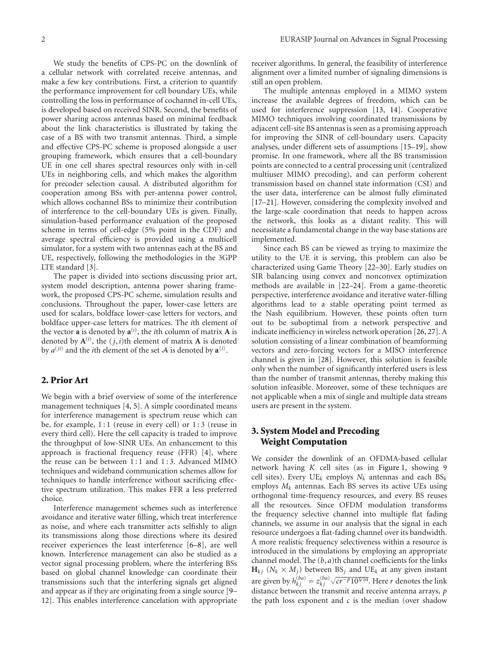We study the benefits of CPS-PC on the downlink of a cellular network with correlated receive antennas, and make a few key contributions. First, a criterion to quantify the performance improvement for cell boundary UEs, while controlling the loss in performance of cochannel in-cell UEs, is developed based on received SINR. Second, the benefits of power sharing across antennas based on minimal feedback about the link characteristics is illustrated by taking the case of a BS with two transmit antennas. Third, a simple and effective CPS-PC scheme is proposed alongside a user grouping framework, which ensures that a cell-boundary UE in one cell shares spectral resources only with in-cell UEs in neighboring cells, and which makes the algorithm for precoder selection causal. A distributed algorithm for cooperation among BSs with per-antenna power control, which allows cochannel BSs to minimize their contribution of interference to the cell-boundary UEs is given. Finally, simulation-based performance evaluation of the proposed scheme in terms of cell-edge (5% point in the CDF) and average spectral efficiency is provided using a multicell simulator, for a system with two antennas each at the BS and UE, respectively, following the methodologies in the 3GPP LTE standard [3].

The paper is divided into sections discussing prior art, system model description, antenna power sharing framework, the proposed CPS-PC scheme, simulation results and conclusions. Throughout the paper, lower-case letters are used for scalars, boldface lower-case letters for vectors, and boldface upper-case letters for matrices. The *i*th element of the vector **a** is denoted by  $\mathbf{a}^{(i)}$ , the *i*th column of matrix **A** is denoted by  $A^{(i)}$ , the  $(j, i)$ th element of matrix A is denoted by  $a^{(ji)}$  and the *i*th element of the set A is denoted by  $\mathbf{a}^{\{i\}}$ .

### **2. Prior Art**

We begin with a brief overview of some of the interference management techniques [4, 5]. A simple coordinated means for interference management is spectrum reuse which can be, for example,  $1:1$  (reuse in every cell) or  $1:3$  (reuse in every third cell). Here the cell capacity is traded to improve the throughput of low-SINR UEs. An enhancement to this approach is fractional frequency reuse (FFR) [4], where the reuse can be between 1 : 1 and 1 : 3. Advanced MIMO techniques and wideband communication schemes allow for techniques to handle interference without sacrificing effective spectrum utilization. This makes FFR a less preferred choice.

Interference management schemes such as interference avoidance and iterative water filling, which treat interference as noise, and where each transmitter acts selfishly to align its transmissions along those directions where its desired receiver experiences the least interference [6–8], are well known. Interference management can also be studied as a vector signal processing problem, where the interfering BSs based on global channel knowledge can coordinate their transmissions such that the interfering signals get aligned and appear as if they are originating from a single source [9– 12]. This enables interference cancelation with appropriate

receiver algorithms. In general, the feasibility of interference alignment over a limited number of signaling dimensions is still an open problem.

The multiple antennas employed in a MIMO system increase the available degrees of freedom, which can be used for interference suppression [13, 14]. Cooperative MIMO techniques involving coordinated transmissions by adjacent cell-site BS antennas is seen as a promising approach for improving the SINR of cell-boundary users. Capacity analyses, under different sets of assumptions [15–19], show promise. In one framework, where all the BS transmission points are connected to a central processing unit (centralized multiuser MIMO precoding), and can perform coherent transmission based on channel state information (CSI) and the user data, interference can be almost fully eliminated [17–21]. However, considering the complexity involved and the large-scale coordination that needs to happen across the network, this looks as a distant reality. This will necessitate a fundamental change in the way base stations are implemented.

Since each BS can be viewed as trying to maximize the utility to the UE it is serving, this problem can also be characterized using Game Theory [22–30]. Early studies on SIR balancing using convex and nonconvex optimization methods are available in [22–24]. From a game-theoretic perspective, interference avoidance and iterative water-filling algorithms lead to a stable operating point termed as the Nash equilibrium. However, these points often turn out to be suboptimal from a network perspective and indicate inefficiency in wireless network operation [26, 27]. A solution consisting of a linear combination of beamforming vectors and zero-forcing vectors for a MISO interference channel is given in [28]. However, this solution is feasible only when the number of significantly interfered users is less than the number of transmit antennas, thereby making this solution infeasible. Moreover, some of these techniques are not applicable when a mix of single and multiple data stream users are present in the system.

## **3. System Model and Precoding Weight Computation**

We consider the downlink of an OFDMA-based cellular network having *K* cell sites (as in Figure 1, showing 9 cell sites). Every UE*<sup>k</sup>* employs *Nk* antennas and each BS*<sup>k</sup>* employs  $M_k$  antennas. Each BS serves its active UEs using orthogonal time-frequency resources, and every BS reuses all the resources. Since OFDM modulation transforms the frequency selective channel into multiple flat fading channels, we assume in our analysis that the signal in each resource undergoes a flat-fading channel over its bandwidth. A more realistic frequency selectiveness within a resource is introduced in the simulations by employing an appropriate channel model. The (*b*, *a*)th channel coefficients for the links  $\mathbf{H}_{kj}$  ( $N_k \times M_j$ ) between BS<sub>*j*</sub> and UE<sub>k</sub> at any given instant are given by  $h_{kj}^{(ba)} = z_{kj}^{(ba)} \sqrt{c r^{-p} 10^{S/10}}$ . Here *r* denotes the link distance between the transmit and receive antenna arrays, *p* the path loss exponent and  $c$  is the median (over shadow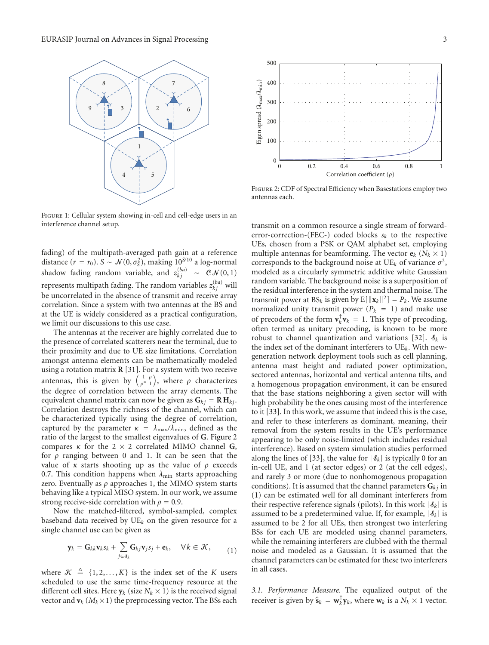

Figure 1: Cellular system showing in-cell and cell-edge users in an interference channel setup.

fading) of the multipath-averaged path gain at a reference distance  $(r = r_0)$ . *S* ∼  $\mathcal{N}(0, \sigma_S^2)$ , making  $10^{S/10}$  a log-normal shadow fading random variable, and  $z_{kj}^{(ba)} \sim \mathcal{CN}(0, 1)$ represents multipath fading. The random variables  $z_{kj}^{(ba)}$  will be uncorrelated in the absence of transmit and receive array correlation. Since a system with two antennas at the BS and at the UE is widely considered as a practical configuration, we limit our discussions to this use case.

The antennas at the receiver are highly correlated due to the presence of correlated scatterers near the terminal, due to their proximity and due to UE size limitations. Correlation amongst antenna elements can be mathematically modeled using a rotation matrix **R** [31]. For a system with two receive antennas, this is given by  $\begin{pmatrix} 1 & \rho \\ \rho^* & 1 \end{pmatrix}$  $\binom{1}{p^*}$ , where *ρ* characterizes the degree of correlation between the array elements. The equivalent channel matrix can now be given as  $G_{kj} = R H_{kj}$ . Correlation destroys the richness of the channel, which can be characterized typically using the degree of correlation, captured by the parameter  $\kappa = \lambda_{\text{max}}/\lambda_{\text{min}}$ , defined as the ratio of the largest to the smallest eigenvalues of **G**. Figure 2 compares *κ* for the  $2 \times 2$  correlated MIMO channel **G**, for *ρ* ranging between 0 and 1. It can be seen that the value of  $\kappa$  starts shooting up as the value of  $\rho$  exceeds 0.7. This condition happens when  $\lambda_{\min}$  starts approaching zero. Eventually as *ρ* approaches 1, the MIMO system starts behaving like a typical MISO system. In our work, we assume strong receive-side correlation with  $\rho = 0.9$ .

Now the matched-filtered, symbol-sampled, complex baseband data received by UE*<sup>k</sup>* on the given resource for a single channel use can be given as

$$
\mathbf{y}_k = \mathbf{G}_{kk}\mathbf{v}_k s_k + \sum_{j \in \delta_k} \mathbf{G}_{kj}\mathbf{v}_j s_j + \mathbf{e}_k, \quad \forall k \in \mathcal{K}, \qquad (1)
$$

where  $\mathcal{K} \triangleq \{1, 2, ..., K\}$  is the index set of the *K* users scheduled to use the same time-frequency resource at the different cell sites. Here  $y_k$  (size  $N_k \times 1$ ) is the received signal vector and  $\mathbf{v}_k$  ( $M_k \times 1$ ) the preprocessing vector. The BSs each



Figure 2: CDF of Spectral Efficiency when Basestations employ two antennas each.

transmit on a common resource a single stream of forwarderror-correction-(FEC-) coded blocks  $s_k$  to the respective UEs, chosen from a PSK or QAM alphabet set, employing multiple antennas for beamforming. The vector  $\mathbf{e}_k$  ( $N_k \times 1$ ) corresponds to the background noise at UE<sub>k</sub> of variance  $\sigma^2$ , modeled as a circularly symmetric additive white Gaussian random variable. The background noise is a superposition of the residual interference in the system and thermal noise. The transmit power at BS<sub>k</sub> is given by  $E[\|\mathbf{x}_k\|^2] = P_k$ . We assume normalized unity transmit power  $(P_k = 1)$  and make use of precoders of the form  $\mathbf{v}_k^{\mathsf{T}} \mathbf{v}_k = 1$ . This type of precoding, often termed as unitary precoding, is known to be more robust to channel quantization and variations [32].  $\delta_k$  is the index set of the dominant interferers to UE*k*. With newgeneration network deployment tools such as cell planning, antenna mast height and radiated power optimization, sectored antennas, horizontal and vertical antenna tilts, and a homogenous propagation environment, it can be ensured that the base stations neighboring a given sector will with high probability be the ones causing most of the interference to it [33]. In this work, we assume that indeed this is the case, and refer to these interferers as dominant, meaning, their removal from the system results in the UE's performance appearing to be only noise-limited (which includes residual interference). Based on system simulation studies performed along the lines of [33], the value for  $|\mathcal{S}_k|$  is typically 0 for an in-cell UE, and 1 (at sector edges) or 2 (at the cell edges), and rarely 3 or more (due to nonhomogenous propagation conditions). It is assumed that the channel parameters  $G_{kj}$  in (1) can be estimated well for all dominant interferers from their respective reference signals (pilots). In this work  $|\mathcal{S}_k|$  is assumed to be a predetermined value. If, for example,  $|\mathcal{S}_k|$  is assumed to be 2 for all UEs, then strongest two interfering BSs for each UE are modeled using channel parameters, while the remaining interferers are clubbed with the thermal noise and modeled as a Gaussian. It is assumed that the channel parameters can be estimated for these two interferers in all cases.

*3.1. Performance Measure.* The equalized output of the receiver is given by  $\hat{\mathbf{s}}_k = \mathbf{w}_k^{\mathsf{T}} \mathbf{y}_k$ , where  $\mathbf{w}_k$  is a  $N_k \times 1$  vector.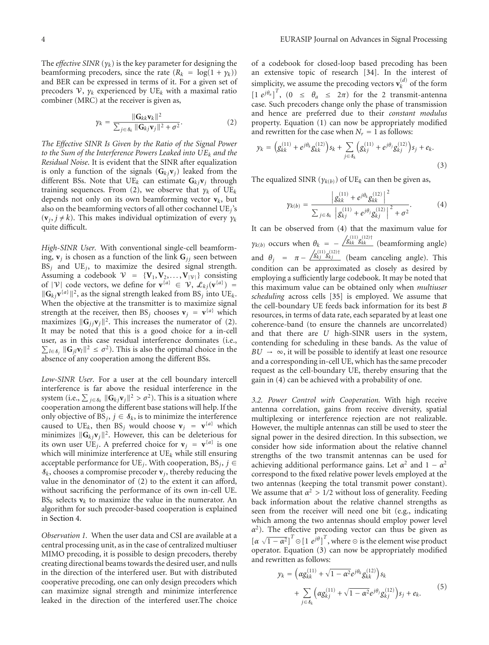The *effective SINR*  $(\gamma_k)$  is the key parameter for designing the beamforming precoders, since the rate  $(R_k = \log(1 + \gamma_k))$ and BER can be expressed in terms of it. For a given set of precoders V, *γk* experienced by UE*<sup>k</sup>* with a maximal ratio combiner (MRC) at the receiver is given as,

$$
\gamma_k = \frac{\|\mathbf{G}_{kk}\mathbf{v}_k\|^2}{\sum_{j \in \delta_k} \|\mathbf{G}_{kj}\mathbf{v}_j\|^2 + \sigma^2}.
$$
 (2)

*The Effective SINR Is Given by the Ratio of the Signal Power to the Sum of the Interference Powers Leaked into UEk and the Residual Noise*. It is evident that the SINR after equalization is only a function of the signals  $(G_k, v_i)$  leaked from the different BSs. Note that  $UE_k$  can estimate  $G_{kj}v_j$  through training sequences. From (2), we observe that *γk* of UE*<sup>k</sup>* depends not only on its own beamforming vector  $v_k$ , but also on the beamforming vectors of all other cochannel UE*j*'s  $(\mathbf{v}_i, j \neq k)$ . This makes individual optimization of every  $\gamma_k$ quite difficult.

*High-SINR User.* With conventional single-cell beamforming,  $\mathbf{v}_i$  is chosen as a function of the link  $\mathbf{G}_{ij}$  seen between BS*<sup>j</sup>* and UE*j*, to maximize the desired signal strength. Assuming a codebook  $V = \{V_1, V_2, \ldots, V_{|\mathcal{V}|}\}\)$  consisting of  $|V|$  code vectors, we define for  $\mathbf{v}^{\{a\}} \in V$ ,  $\mathcal{L}_{kj}(\mathbf{v}^{\{a\}})$  =  $\|\mathbf{G}_k \mathbf{y}^{\{a\}}\|^2$ , as the signal strength leaked from BS<sub>*j*</sub> into UE<sub>k</sub>. When the objective at the transmitter is to maximize signal strength at the receiver, then BS<sub>*j*</sub> chooses  $\mathbf{v}_j = \mathbf{v}^{\{a\}}$  which maximizes  $\|\mathbf{G}_{ij}\mathbf{v}_j\|^2$ . This increases the numerator of (2). It may be noted that this is a good choice for a in-cell user, as in this case residual interference dominates (i.e.,  $\sum_{l \in \mathcal{S}_i}$  **||G**<sub>*jl*</sub>**v**<sub>*l*</sub>||<sup>2</sup> ≤  $\sigma^2$ ). This is also the optimal choice in the absence of any cooperation among the different BSs.

*Low-SINR User.* For a user at the cell boundary intercell interference is far above the residual interference in the system (i.e.,  $\sum_{j \in \mathcal{S}_k} ||G_{kj}v_j||^2 > \sigma^2$ ). This is a situation where cooperation among the different base stations will help. If the only objective of BS<sub>*j*</sub>,  $j \in \mathcal{S}_k$ , is to minimize the interference caused to UE<sub>k</sub>, then BS<sub>*j*</sub> would choose  $\mathbf{v}_j = \mathbf{v}^{\{a\}}$  which minimizes  $\|\mathbf{G}_{ki}\mathbf{v}_i\|^2$ . However, this can be deleterious for its own user UE<sub>*j*</sub>. A preferred choice for  $\mathbf{v}_j = \mathbf{v}^{\{a\}}$  is one which will minimize interference at UE*<sup>k</sup>* while still ensuring acceptable performance for UE<sub>j</sub>. With cooperation, BS<sub>*j*</sub>, *j* ∈  $\mathcal{S}_k$ , chooses a compromise precoder  $\mathbf{v}_i$ , thereby reducing the value in the denominator of (2) to the extent it can afford, without sacrificing the performance of its own in-cell UE.  $BS_k$  selects  $v_k$  to maximize the value in the numerator. An algorithm for such precoder-based cooperation is explained in Section 4.

*Observation 1.* When the user data and CSI are available at a central processing unit, as in the case of centralized multiuser MIMO precoding, it is possible to design precoders, thereby creating directional beams towards the desired user, and nulls in the direction of the interfered user. But with distributed cooperative precoding, one can only design precoders which can maximize signal strength and minimize interference leaked in the direction of the interfered user.The choice of a codebook for closed-loop based precoding has been an extensive topic of research [34]. In the interest of simplicity, we assume the precoding vectors  $\mathbf{v}_k^{(d)}$  of the form  $\left[1 e^{j\theta_a}\right]^T$ ,  $\left(0 \leq \theta_a \leq 2\pi\right)$  for the 2 transmit-antenna case. Such precoders change only the phase of transmission and hence are preferred due to their *constant modulus* property. Equation (1) can now be appropriately modified and rewritten for the case when  $N_r = 1$  as follows:

$$
y_k = \left(g_{kk}^{(11)} + e^{j\theta_k} g_{kk}^{(12)}\right) s_k + \sum_{j \in \delta_k} \left(g_{kj}^{(11)} + e^{j\theta_j} g_{kj}^{(12)}\right) s_j + e_k.
$$
\n(3)

The equalized SINR  $(\gamma_{k(b)})$  of UE<sub>k</sub> can then be given as,

$$
\gamma_{k(b)} = \frac{\left| g_{kk}^{(11)} + e^{j\theta_k} g_{kk}^{(12)} \right|^2}{\sum_{j \in \delta_k} \left| g_{kj}^{(11)} + e^{j\theta_j} g_{kj}^{(12)} \right|^2 + \sigma^2}.
$$
 (4)

It can be observed from (4) that the maximum value for *γ*<sub>*k*(*b*)</sub> occurs when  $\theta_k = -\sqrt{g_{kk}^{(11)}}$ *kk g* (12)*† kk* (beamforming angle) and  $\theta_j = \pi - \frac{\sqrt{g_{kj}^{(11)}}}{g_{kj}}$ *k j g* (12)*† k j* (beam canceling angle). This condition can be approximated as closely as desired by employing a sufficiently large codebook. It may be noted that this maximum value can be obtained only when *multiuser scheduling* across cells [35] is employed. We assume that the cell-boundary UE feeds back information for its best *B* resources, in terms of data rate, each separated by at least one coherence-band (to ensure the channels are uncorrelated) and that there are *U* high-SINR users in the system, contending for scheduling in these bands. As the value of  $BU \rightarrow \infty$ , it will be possible to identify at least one resource and a corresponding in-cell UE, which has the same precoder request as the cell-boundary UE, thereby ensuring that the gain in (4) can be achieved with a probability of one.

*3.2. Power Control with Cooperation.* With high receive antenna correlation, gains from receive diversity, spatial multiplexing or interference rejection are not realizable. However, the multiple antennas can still be used to steer the signal power in the desired direction. In this subsection, we consider how side information about the relative channel strengths of the two transmit antennas can be used for achieving additional performance gains. Let  $\alpha^2$  and  $1 - \alpha^2$ correspond to the fixed relative power levels employed at the two antennas (keeping the total transmit power constant). We assume that  $\alpha^2 > 1/2$  without loss of generality. Feeding back information about the relative channel strengths as seen from the receiver will need one bit (e.g., indicating which among the two antennas should employ power level *α*2). The effective precoding vector can thus be given as  $\left[\alpha \sqrt{1-\alpha^2}\right]^T \odot \left[1 \ e^{j\theta}\right]^T$ , where  $\odot$  is the element wise product operator. Equation (3) can now be appropriately modified and rewritten as follows:

$$
y_k = \left(\alpha g_{kk}^{(11)} + \sqrt{1 - \alpha^2} e^{j\theta_k} g_{kk}^{(12)}\right) s_k
$$
  
+ 
$$
\sum_{j \in \mathcal{S}_k} \left(\alpha g_{kj}^{(11)} + \sqrt{1 - \alpha^2} e^{j\theta_j} g_{kj}^{(12)}\right) s_j + e_k.
$$
 (5)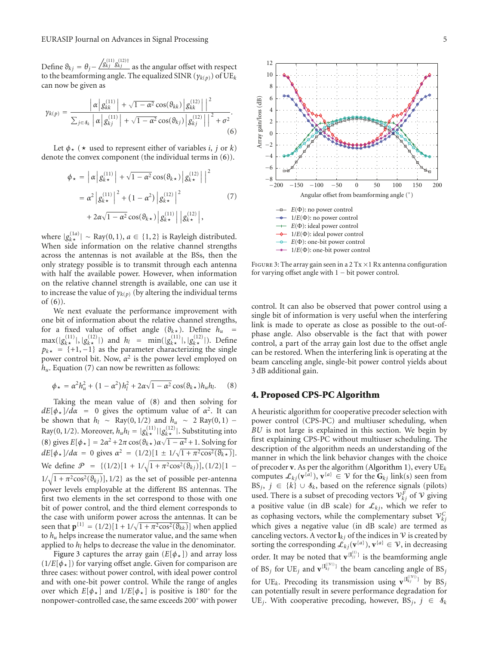Define  $\theta_{kj} = \theta_j - \sqrt{g_{kj}^{(11)}}$ *k j g* (12)*† k j* as the angular offset with respect to the beamforming angle. The equalized SINR (*γk*(*p*)) of UE*<sup>k</sup>* can now be given as

$$
\gamma_{k(p)} = \frac{\left| \alpha \left| g_{kk}^{(11)} \right| + \sqrt{1 - \alpha^2} \cos(\vartheta_{kk}) \left| g_{kk}^{(12)} \right| \right|^2}{\sum_{j \in \delta_k} \left| \alpha \left| g_{kj}^{(11)} \right| + \sqrt{1 - \alpha^2} \cos(\vartheta_{kj}) \left| g_{kj}^{(12)} \right| \right|^2 + \sigma^2}.
$$
\n(6)

Let  $\phi_{\star}$  ( $\star$  used to represent either of variables *i*, *j* or *k*) denote the convex component (the individual terms in (6)).

$$
\phi_{\star} = \left| \alpha \left| g_{k\star}^{(11)} \right| + \sqrt{1 - \alpha^2} \cos(\vartheta_{k\star}) \left| g_{k\star}^{(12)} \right| \right|^2
$$

$$
= \alpha^2 \left| g_{k\star}^{(11)} \right|^2 + (1 - \alpha^2) \left| g_{k\star}^{(12)} \right|^2
$$

$$
+ 2\alpha \sqrt{1 - \alpha^2} \cos(\vartheta_{k\star}) \left| g_{k\star}^{(11)} \right| \left| g_{k\star}^{(12)} \right|, \tag{7}
$$

where  $|g_{k\star}^{(1a)}| \sim \text{Ray}(0, 1), a \in \{1, 2\}$  is Rayleigh distributed. When side information on the relative channel strengths across the antennas is not available at the BSs, then the only strategy possible is to transmit through each antenna with half the available power. However, when information on the relative channel strength is available, one can use it to increase the value of  $\gamma_{k(p)}$  (by altering the individual terms of  $(6)$ ).

We next evaluate the performance improvement with one bit of information about the relative channel strengths, for a fixed value of offset angle  $(\vartheta_{k\star})$ . Define  $h_u$  =  $\max(|g_{k\star}^{(11)}|,|g_{k\star}^{(12)}|)$  and  $h_l = \min(|g_{k\star}^{(11)}|,|g_{k\star}^{(12)}|)$ . Define  $p_{k\star} = \{+1, -1\}$  as the parameter characterizing the single power control bit. Now,  $\alpha^2$  is the power level employed on *hu*. Equation (7) can now be rewritten as follows:

$$
\phi_{\star} = \alpha^2 h_u^2 + (1 - \alpha^2) h_l^2 + 2\alpha \sqrt{1 - \alpha^2} \cos(\theta_{k\star}) h_u h_l. \tag{8}
$$

Taking the mean value of (8) and then solving for  $dE[\phi_{\star}] / d\alpha = 0$  gives the optimum value of *α*<sup>2</sup>. It can be shown that  $h_l \sim \text{Ray}(0, 1/2)$  and  $h_u \sim 2 \text{ Ray}(0, 1)$  −  $\text{Ray}(0, 1/2)$ . Moreover,  $h_u h_l = |g_{k\star}^{(11)}| |g_{k\star}^{(12)}|$ . Substituting into (8) gives  $E[\phi_\star] = 2\alpha^2 + 2\pi \cos(\theta_{k\star})\alpha \sqrt{1 - \alpha^2} + 1$ . Solving for  $dE[\phi_{\star}] / d\alpha = 0$  gives  $\alpha^2 = (1/2)[1 \pm 1/\sqrt{1 + \pi^2 \cos^2(\theta_{k\star})}]$ . We define  $\mathcal{P} = \{ (1/2) [1 + 1/\sqrt{1 + \pi^2 \cos^2(\theta_{kj})}], (1/2) [1 1/\sqrt{1 + \pi^2 \cos^2(\theta_{kj})}$ , 1/2} as the set of possible per-antenna power levels employable at the different BS antennas. The first two elements in the set correspond to those with one bit of power control, and the third element corresponds to the case with uniform power across the antennas. It can be seen that  ${\bf p}^{\{1\}} = (1/2)[1 + 1/\sqrt{1 + \pi^2 \cos^2(\theta_{kk})}]$  when applied to *hu* helps increase the numerator value, and the same when applied to *hl* helps to decrease the value in the denominator.

Figure 3 captures the array gain  $(E[\phi_{\star}])$  and array loss  $(1/E[\phi_{\star}] )$  for varying offset angle. Given for comparison are three cases: without power control, with ideal power control and with one-bit power control. While the range of angles over which  $E[\phi_\star]$  and  $1/E[\phi_\star]$  is positive is 180° for the nonpower-controlled case, the same exceeds 200◦ with power



FIGURE 3: The array gain seen in a 2  $Tx \times 1Rx$  antenna configuration for varying offset angle with  $1 - bit$  power control.

control. It can also be observed that power control using a single bit of information is very useful when the interfering link is made to operate as close as possible to the out-ofphase angle. Also observable is the fact that with power control, a part of the array gain lost due to the offset angle can be restored. When the interfering link is operating at the beam canceling angle, single-bit power control yields about 3 dB additional gain.

#### **4. Proposed CPS-PC Algorithm**

A heuristic algorithm for cooperative precoder selection with power control (CPS-PC) and multiuser scheduling, when *BU* is not large is explained in this section. We begin by first explaining CPS-PC without multiuser scheduling. The description of the algorithm needs an understanding of the manner in which the link behavior changes with the choice of precoder **v**. As per the algorithm (Algorithm 1), every UE*<sup>k</sup>* computes  $\mathcal{L}_{ki}(\mathbf{v}^{\{a\}}), \mathbf{v}^{\{a\}} \in \mathcal{V}$  for the  $\mathbf{G}_{ki}$  link(s) seen from BS<sub>*j*</sub>, *j* ∈ { $k$ } ∪  $\mathcal{S}_k$ , based on the reference signals (pilots) used. There is a subset of precoding vectors  $V_{kj}^F$  of V giving a positive value (in dB scale) for  $\mathcal{L}_{kj}$ , which we refer to as cophasing vectors, while the complementary subset  $\mathcal{V}_{k_j}^C$ which gives a negative value (in dB scale) are termed as canceling vectors. A vector  $\mathbf{l}_{ki}$  of the indices in V is created by sorting the corresponding  $\mathcal{L}_{kj}(\mathbf{v}^{\{a\}}), \mathbf{v}^{\{a\}} \in \mathcal{V}$ , in decreasing order. It may be noted that  $\mathbf{v}^{\{1\}^{\{1\}}}_{ij}$  is the beamforming angle of BS<sub>*j*</sub> for UE<sub>*j*</sub> and  $\mathbf{v}^{\{[\mathcal{V}]\}}$  the beam canceling angle of BS<sub>*j*</sub> for UE<sub>k</sub>. Precoding its transmission using  $\mathbf{v}^{\{l_{kj}^{(\{V)\}}\}}$  by BS<sub>*j*</sub> can potentially result in severe performance degradation for UE<sub>*j*</sub>. With cooperative precoding, however, BS<sub>*j*</sub>,  $j \in S_k$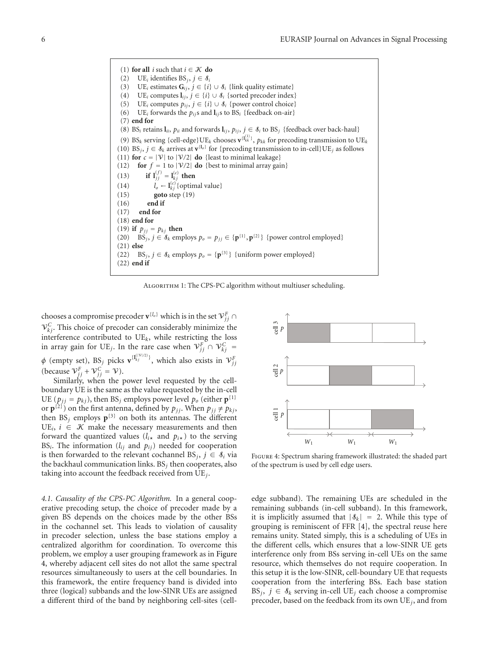(1) **for all** *i* such that  $i \in \mathcal{K}$  **do** (2) UE<sub>*i*</sub> identifies BS<sub>*i*</sub>,  $j \in S_i$ (3) UE<sub>*i*</sub> estimates  $\mathbf{G}_{ij}, j \in \{i\} \cup \mathcal{S}_i$  {link quality estimate} (4) UE<sub>*i*</sub> computes  $\mathbf{l}_{ij}$ ,  $j \in \{i\} \cup \mathcal{S}_i$  {sorted precoder index} (5) UE<sub>*i*</sub> computes  $p_{ij}$ ,  $j \in \{i\} \cup \mathcal{S}_i$  {power control choice} (6) UE<sub>i</sub> forwards the  $p_{ij}$ s and  $\mathbf{l}_{ij}$ s to BS<sub>i</sub> {feedback on-air} (7) **end for** (8) BS<sub>*i*</sub> retains  $\mathbf{l}_{ii}$ ,  $p_{ii}$  and forwards  $\mathbf{l}_{ij}$ ,  $p_{ij}$ ,  $j \in \mathcal{S}_i$  to BS<sub>*j*</sub> {feedback over back-haul} (9) BS<sub>k</sub> serving {cell-edge}UE<sub>k</sub> chooses  $\mathbf{v}^{\{1\}}$ ,  $p_{kk}$  for precoding transmission to UE<sub>k</sub> (10) BS<sub>*i*</sub>,  $j \in \mathcal{S}_k$  arrives at  $\mathbf{v}^{\{l_o\}}$  for {precoding transmission to in-cell} UE<sub>*j*</sub> as follows (11) **for**  $c = |\mathcal{V}|$  to  $|\mathcal{V}/2|$  **do** {least to minimal leakage}<br>(12) **for**  $f = 1$  to  $|\mathcal{V}/2|$  **do** {best to minimal array gain for  $f = 1$  to  $|V/2|$  do {best to minimal array gain} (13) **if**  $I_{jj}^{(f)} = I_{kj}^{(c)}$  then (14)  $l_o \leftarrow l_{kj}^{(c)}$  {optimal value} (15) **goto** step (19) (16) **end if** (17) **end for** (18) **end for** (19) **if**  $p_{jj} = p_{kj}$  **then**<br>(20) **BS**<sub>*i*</sub>,  $j \in S_k$  emp  $(S_j, j \in \mathcal{S}_k$  employs  $p_o = p_{jj} \in \{p^{\{1\}}, p^{\{2\}}\}$  {power control employed} (21) **else** (22) BS<sub>*j</sub>*,  $j \in \mathcal{S}_k$  employs  $p_o = {\mathbf{p}^{\{3\}}}\$  {uniform power employed}</sub> (22) **end if**

Algorithm 1: The CPS-PC algorithm without multiuser scheduling.

chooses a compromise precoder  $\mathbf{v}^{\{l_o\}}$  which is in the set  $\mathcal{V}_{jj}^F \cap$  $V_{kj}^C$ . This choice of precoder can considerably minimize the interference contributed to UE*k*, while restricting the loss in array gain for UE<sub>j</sub>. In the rare case when  $V_{jj}^F \cap V_{kj}^C =$  $\phi$  (empty set), BS<sub>j</sub> picks  $\mathbf{v}^{\{\mathbf{l}^{(\{V|Z\})}_{kj}\}}$ , which also exists in  $\mathcal{V}_{jj}^F$ (because  $V_{jj}^F + V_{jj}^C = V$ ).

Similarly, when the power level requested by the cellboundary UE is the same as the value requested by the in-cell UE ( $p_{jj} = p_{kj}$ ), then BS<sub>j</sub> employs power level  $p_o$  (either  $\mathbf{p}^{\{1\}}$ ) or  $\mathbf{p}^{\{2\}}$ ) on the first antenna, defined by  $p_{jj}$ . When  $p_{jj} \neq p_{kj}$ , then  $BS_i$  employs  $\mathbf{p}^{\{3\}}$  on both its antennas. The different UE<sub>i</sub>,  $i \in \mathcal{K}$  make the necessary measurements and then forward the quantized values ( $l_{i\star}$  and  $p_{i\star}$ ) to the serving BS<sub>*i*</sub>. The information ( $l_{ij}$  and  $p_{ij}$ ) needed for cooperation is then forwarded to the relevant cochannel BS<sub>*i*</sub>,  $j \in S_i$  via the backhaul communication links. BS*<sup>j</sup>* then cooperates, also taking into account the feedback received from UE*j*.

*4.1. Causality of the CPS-PC Algorithm.* In a general cooperative precoding setup, the choice of precoder made by a given BS depends on the choices made by the other BSs in the cochannel set. This leads to violation of causality in precoder selection, unless the base stations employ a centralized algorithm for coordination. To overcome this problem, we employ a user grouping framework as in Figure 4, whereby adjacent cell sites do not allot the same spectral resources simultaneously to users at the cell boundaries. In this framework, the entire frequency band is divided into three (logical) subbands and the low-SINR UEs are assigned a different third of the band by neighboring cell-sites (cell-



Figure 4: Spectrum sharing framework illustrated: the shaded part of the spectrum is used by cell edge users.

edge subband). The remaining UEs are scheduled in the remaining subbands (in-cell subband). In this framework, it is implicitly assumed that  $|\delta_k| = 2$ . While this type of grouping is reminiscent of FFR [4], the spectral reuse here remains unity. Stated simply, this is a scheduling of UEs in the different cells, which ensures that a low-SINR UE gets interference only from BSs serving in-cell UEs on the same resource, which themselves do not require cooperation. In this setup it is the low-SINR, cell-boundary UE that requests cooperation from the interfering BSs. Each base station BS<sub>*i*</sub>,  $j \in \mathcal{S}_k$  serving in-cell UE<sub>*j*</sub> each choose a compromise precoder, based on the feedback from its own UE*j*, and from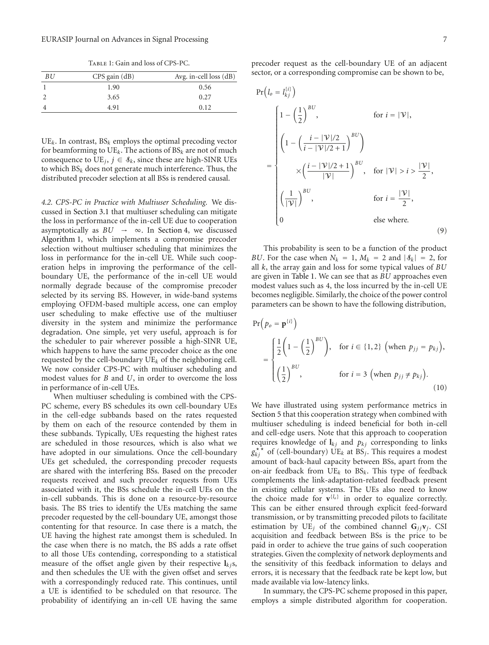Table 1: Gain and loss of CPS-PC.

| $CPS$ gain $(dB)$<br>ΒU<br>1.90<br>0.56<br>0.27<br>3.65<br>0.12<br>4.91 |  |                          |
|-------------------------------------------------------------------------|--|--------------------------|
|                                                                         |  | Avg. in-cell loss $(dB)$ |
|                                                                         |  |                          |
|                                                                         |  |                          |
|                                                                         |  |                          |

 $UE_k$ . In contrast,  $BS_k$  employs the optimal precoding vector for beamforming to  $UE_k$ . The actions of  $BS_k$  are not of much consequence to UE<sub>*j*</sub>,  $j \in S_k$ , since these are high-SINR UEs to which BS*<sup>k</sup>* does not generate much interference. Thus, the distributed precoder selection at all BSs is rendered causal.

*4.2. CPS-PC in Practice with Multiuser Scheduling.* We discussed in Section 3.1 that multiuser scheduling can mitigate the loss in performance of the in-cell UE due to cooperation asymptotically as *BU* → ∞. In Section 4, we discussed Algorithm 1, which implements a compromise precoder selection without multiuser scheduling that minimizes the loss in performance for the in-cell UE. While such cooperation helps in improving the performance of the cellboundary UE, the performance of the in-cell UE would normally degrade because of the compromise precoder selected by its serving BS. However, in wide-band systems employing OFDM-based multiple access, one can employ user scheduling to make effective use of the multiuser diversity in the system and minimize the performance degradation. One simple, yet very useful, approach is for the scheduler to pair wherever possible a high-SINR UE, which happens to have the same precoder choice as the one requested by the cell-boundary UE*<sup>k</sup>* of the neighboring cell. We now consider CPS-PC with multiuser scheduling and modest values for *B* and *U*, in order to overcome the loss in performance of in-cell UEs.

When multiuser scheduling is combined with the CPS-PC scheme, every BS schedules its own cell-boundary UEs in the cell-edge subbands based on the rates requested by them on each of the resource contended by them in these subbands. Typically, UEs requesting the highest rates are scheduled in those resources, which is also what we have adopted in our simulations. Once the cell-boundary UEs get scheduled, the corresponding precoder requests are shared with the interfering BSs. Based on the precoder requests received and such precoder requests from UEs associated with it, the BSs schedule the in-cell UEs on the in-cell subbands. This is done on a resource-by-resource basis. The BS tries to identify the UEs matching the same precoder requested by the cell-boundary UE, amongst those contenting for that resource. In case there is a match, the UE having the highest rate amongst them is scheduled. In the case when there is no match, the BS adds a rate offset to all those UEs contending, corresponding to a statistical measure of the offset angle given by their respective  $\mathbf{l}_{kj}$ s, and then schedules the UE with the given offset and serves with a correspondingly reduced rate. This continues, until a UE is identified to be scheduled on that resource. The probability of identifying an in-cell UE having the same

precoder request as the cell-boundary UE of an adjacent

$$
Pr(l_o = l_{kj}^{i})
$$
\n
$$
= \begin{cases}\n1 - \left(\frac{1}{2}\right)^{BU}, & \text{for } i = |\mathcal{V}|, \\
\left(1 - \left(\frac{i - |\mathcal{V}|/2}{i - |\mathcal{V}|/2 + 1}\right)^{BU}\right) & \\
\times \left(\frac{i - |\mathcal{V}|/2 + 1}{|\mathcal{V}|}\right)^{BU}, & \text{for } |\mathcal{V}| > i > \frac{|\mathcal{V}|}{2}, \\
\left(\frac{1}{|\mathcal{V}|}\right)^{BU}, & \text{for } i = \frac{|\mathcal{V}|}{2}, \\
0 & \text{else where.} \n\end{cases}
$$
\n(9)

sector, or a corresponding compromise can be shown to be,

This probability is seen to be a function of the product *BU*. For the case when  $N_k = 1$ ,  $M_k = 2$  and  $|\mathcal{S}_k| = 2$ , for all *k*, the array gain and loss for some typical values of *BU* are given in Table 1. We can see that as *BU* approaches even modest values such as 4, the loss incurred by the in-cell UE becomes negligible. Similarly, the choice of the power control parameters can be shown to have the following distribution,

$$
Pr(p_o = \mathbf{p}^{\{i\}})
$$
\n
$$
= \begin{cases}\n\frac{1}{2}\left(1 - \left(\frac{1}{2}\right)^{BU}\right), & \text{for } i \in \{1, 2\} \text{ (when } p_{jj} = p_{kj}\right), \\
\left(\frac{1}{2}\right)^{BU}, & \text{for } i = 3 \text{ (when } p_{jj} \neq p_{kj}\text{)}. \n\end{cases}
$$
\n
$$
(10)
$$

We have illustrated using system performance metrics in Section 5 that this cooperation strategy when combined with multiuser scheduling is indeed beneficial for both in-cell and cell-edge users. Note that this approach to cooperation requires knowledge of  $\mathbf{l}_{kj}$  and  $p_{kj}$  corresponding to links  $g_{kj}^{\star\star}$  of (cell-boundary) UE<sub>k</sub> at BS<sub>j</sub>. This requires a modest amount of back-haul capacity between BSs, apart from the on-air feedback from  $UE_k$  to  $BS_k$ . This type of feedback complements the link-adaptation-related feedback present in existing cellular systems. The UEs also need to know the choice made for  $\mathbf{v}^{\{l_o\}}$  in order to equalize correctly. This can be either ensured through explicit feed-forward transmission, or by transmitting precoded pilots to facilitate estimation by UE<sub>*j*</sub> of the combined channel  $G_{ji}v_j$ . CSI acquisition and feedback between BSs is the price to be paid in order to achieve the true gains of such cooperation strategies. Given the complexity of network deployments and the sensitivity of this feedback information to delays and errors, it is necessary that the feedback rate be kept low, but made available via low-latency links.

In summary, the CPS-PC scheme proposed in this paper, employs a simple distributed algorithm for cooperation.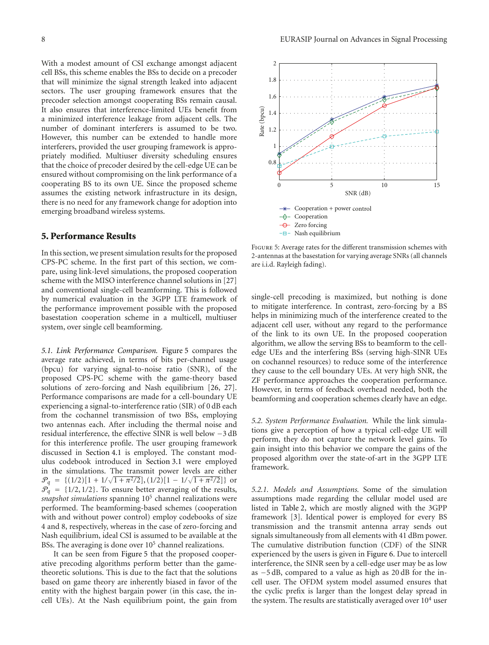With a modest amount of CSI exchange amongst adjacent cell BSs, this scheme enables the BSs to decide on a precoder that will minimize the signal strength leaked into adjacent sectors. The user grouping framework ensures that the precoder selection amongst cooperating BSs remain causal. It also ensures that interference-limited UEs benefit from a minimized interference leakage from adjacent cells. The number of dominant interferers is assumed to be two. However, this number can be extended to handle more interferers, provided the user grouping framework is appropriately modified. Multiuser diversity scheduling ensures that the choice of precoder desired by the cell-edge UE can be ensured without compromising on the link performance of a cooperating BS to its own UE. Since the proposed scheme assumes the existing network infrastructure in its design, there is no need for any framework change for adoption into emerging broadband wireless systems.

#### **5. Performance Results**

In this section, we present simulation results for the proposed CPS-PC scheme. In the first part of this section, we compare, using link-level simulations, the proposed cooperation scheme with the MISO interference channel solutions in [27] and conventional single-cell beamforming. This is followed by numerical evaluation in the 3GPP LTE framework of the performance improvement possible with the proposed basestation cooperation scheme in a multicell, multiuser system, over single cell beamforming.

*5.1. Link Performance Comparison.* Figure 5 compares the average rate achieved, in terms of bits per-channel usage (bpcu) for varying signal-to-noise ratio (SNR), of the proposed CPS-PC scheme with the game-theory based solutions of zero-forcing and Nash equilibrium [26, 27]. Performance comparisons are made for a cell-boundary UE experiencing a signal-to-interference ratio (SIR) of 0 dB each from the cochannel transmission of two BSs, employing two antennas each. After including the thermal noise and residual interference, the effective SINR is well below −3 dB for this interference profile. The user grouping framework discussed in Section 4.1 is employed. The constant modulus codebook introduced in Section 3.1 were employed in the simulations. The transmit power levels are either  $\mathcal{P}_q = \{ (1/2)[1 + 1/\sqrt{1 + \pi^2/2}], (1/2)[1 - 1/\sqrt{1 + \pi^2/2}] \}$  or  $P_q = \{1/2, 1/2\}$ . To ensure better averaging of the results, *snapshot simulations* spanning 10<sup>5</sup> channel realizations were performed. The beamforming-based schemes (cooperation with and without power control) employ codebooks of size 4 and 8, respectively, whereas in the case of zero-forcing and Nash equilibrium, ideal CSI is assumed to be available at the BSs. The averaging is done over  $10<sup>5</sup>$  channel realizations.

It can be seen from Figure 5 that the proposed cooperative precoding algorithms perform better than the gametheoretic solutions. This is due to the fact that the solutions based on game theory are inherently biased in favor of the entity with the highest bargain power (in this case, the incell UEs). At the Nash equilibrium point, the gain from



Figure 5: Average rates for the different transmission schemes with 2-antennas at the basestation for varying average SNRs (all channels are i.i.d. Rayleigh fading).

single-cell precoding is maximized, but nothing is done to mitigate interference. In contrast, zero-forcing by a BS helps in minimizing much of the interference created to the adjacent cell user, without any regard to the performance of the link to its own UE. In the proposed cooperation algorithm, we allow the serving BSs to beamform to the celledge UEs and the interfering BSs (serving high-SINR UEs on cochannel resources) to reduce some of the interference they cause to the cell boundary UEs. At very high SNR, the ZF performance approaches the cooperation performance. However, in terms of feedback overhead needed, both the beamforming and cooperation schemes clearly have an edge.

*5.2. System Performance Evaluation.* While the link simulations give a perception of how a typical cell-edge UE will perform, they do not capture the network level gains. To gain insight into this behavior we compare the gains of the proposed algorithm over the state-of-art in the 3GPP LTE framework.

*5.2.1. Models and Assumptions.* Some of the simulation assumptions made regarding the cellular model used are listed in Table 2, which are mostly aligned with the 3GPP framework [3]. Identical power is employed for every BS transmission and the transmit antenna array sends out signals simultaneously from all elements with 41 dBm power. The cumulative distribution function (CDF) of the SINR experienced by the users is given in Figure 6. Due to intercell interference, the SINR seen by a cell-edge user may be as low as −5 dB, compared to a value as high as 20 dB for the incell user. The OFDM system model assumed ensures that the cyclic prefix is larger than the longest delay spread in the system. The results are statistically averaged over  $10<sup>4</sup>$  user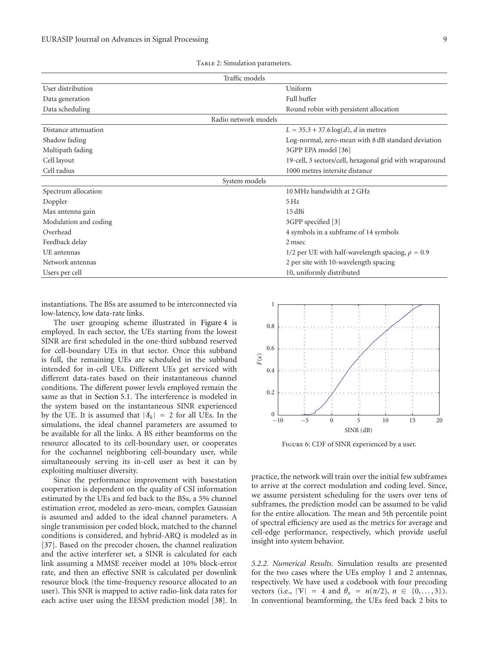| Traffic models        |                                                         |
|-----------------------|---------------------------------------------------------|
| User distribution     | Uniform                                                 |
| Data generation       | Full buffer                                             |
| Data scheduling       | Round robin with persistent allocation                  |
| Radio network models  |                                                         |
| Distance attenuation  | $L = 35.3 + 37.6 \log(d), d$ in metres                  |
| Shadow fading         | Log-normal, zero-mean with 8 dB standard deviation      |
| Multipath fading      | 3GPP EPA model [36]                                     |
| Cell layout           | 19-cell, 3 sectors/cell, hexagonal grid with wraparound |
| Cell radius           | 1000 metres intersite distance                          |
| System models         |                                                         |
| Spectrum allocation   | 10 MHz bandwidth at 2 GHz                               |
| Doppler               | $5\,\mathrm{Hz}$                                        |
| Max antenna gain      | 15 dBi                                                  |
| Modulation and coding | 3GPP specified [3]                                      |
| Overhead              | 4 symbols in a subframe of 14 symbols                   |
| Feedback delay        | 2 msec                                                  |
| UE antennas           | 1/2 per UE with half-wavelength spacing, $\rho = 0.9$   |
| Network antennas      | 2 per site with 10-wavelength spacing                   |
| Users per cell        | 10, uniformly distributed                               |

instantiations. The BSs are assumed to be interconnected via low-latency, low data-rate links.

The user grouping scheme illustrated in Figure 4 is employed. In each sector, the UEs starting from the lowest SINR are first scheduled in the one-third subband reserved for cell-boundary UEs in that sector. Once this subband is full, the remaining UEs are scheduled in the subband intended for in-cell UEs. Different UEs get serviced with different data-rates based on their instantaneous channel conditions. The different power levels employed remain the same as that in Section 5.1. The interference is modeled in the system based on the instantaneous SINR experienced by the UE. It is assumed that  $|\delta_k| = 2$  for all UEs. In the simulations, the ideal channel parameters are assumed to be available for all the links. A BS either beamforms on the resource allocated to its cell-boundary user, or cooperates for the cochannel neighboring cell-boundary user, while simultaneously serving its in-cell user as best it can by exploiting multiuser diversity.

Since the performance improvement with basestation cooperation is dependent on the quality of CSI information estimated by the UEs and fed back to the BSs, a 5% channel estimation error, modeled as zero-mean, complex Gaussian is assumed and added to the ideal channel parameters. A single transmission per coded block, matched to the channel conditions is considered, and hybrid-ARQ is modeled as in [37]. Based on the precoder chosen, the channel realization and the active interferer set, a SINR is calculated for each link assuming a MMSE receiver model at 10% block-error rate, and then an effective SNR is calculated per downlink resource block (the time-frequency resource allocated to an user). This SNR is mapped to active radio-link data rates for each active user using the EESM prediction model [38]. In



Figure 6: CDF of SINR experienced by a user.

practice, the network will train over the initial few subframes to arrive at the correct modulation and coding level. Since, we assume persistent scheduling for the users over tens of subframes, the prediction model can be assumed to be valid for the entire allocation. The mean and 5th percentile point of spectral efficiency are used as the metrics for average and cell-edge performance, respectively, which provide useful insight into system behavior.

*5.2.2. Numerical Results.* Simulation results are presented for the two cases where the UEs employ 1 and 2 antennas, respectively. We have used a codebook with four precoding vectors (i.e.,  $|\mathcal{V}| = 4$  and  $\theta_x = n(\pi/2), n \in \{0, ..., 3\}$ ). In conventional beamforming, the UEs feed back 2 bits to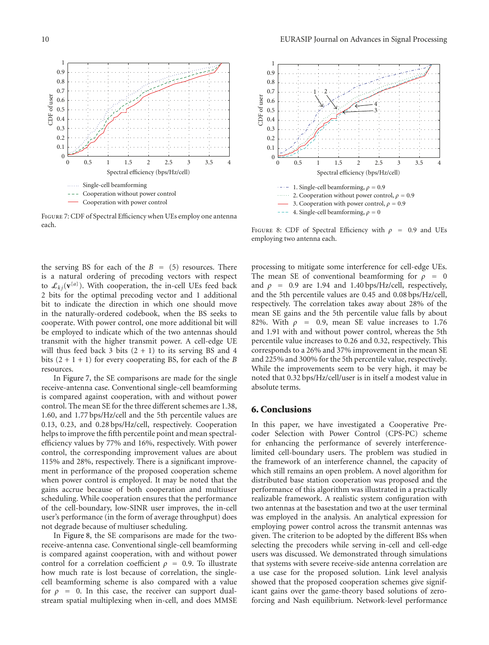

Figure 7: CDF of Spectral Efficiency when UEs employ one antenna each.

the serving BS for each of the  $B = (5)$  resources. There is a natural ordering of precoding vectors with respect to  $\mathcal{L}_{ki}(\mathbf{v}^{\{a\}})$ . With cooperation, the in-cell UEs feed back 2 bits for the optimal precoding vector and 1 additional bit to indicate the direction in which one should move in the naturally-ordered codebook, when the BS seeks to cooperate. With power control, one more additional bit will be employed to indicate which of the two antennas should transmit with the higher transmit power. A cell-edge UE will thus feed back 3 bits  $(2 + 1)$  to its serving BS and 4 bits  $(2 + 1 + 1)$  for every cooperating BS, for each of the *B* resources.

In Figure 7, the SE comparisons are made for the single receive-antenna case. Conventional single-cell beamforming is compared against cooperation, with and without power control. The mean SE for the three different schemes are 1.38, 1.60, and 1.77 bps/Hz/cell and the 5th percentile values are 0.13, 0.23, and 0.28 bps/Hz/cell, respectively. Cooperation helps to improve the fifth percentile point and mean spectralefficiency values by 77% and 16%, respectively. With power control, the corresponding improvement values are about 115% and 28%, respectively. There is a significant improvement in performance of the proposed cooperation scheme when power control is employed. It may be noted that the gains accrue because of both cooperation and multiuser scheduling. While cooperation ensures that the performance of the cell-boundary, low-SINR user improves, the in-cell user's performance (in the form of average throughput) does not degrade because of multiuser scheduling.

In Figure 8, the SE comparisons are made for the tworeceive-antenna case. Conventional single-cell beamforming is compared against cooperation, with and without power control for a correlation coefficient  $\rho = 0.9$ . To illustrate how much rate is lost because of correlation, the singlecell beamforming scheme is also compared with a value for  $\rho = 0$ . In this case, the receiver can support dualstream spatial multiplexing when in-cell, and does MMSE



FIGURE 8: CDF of Spectral Efficiency with  $\rho = 0.9$  and UEs employing two antenna each.

processing to mitigate some interference for cell-edge UEs. The mean SE of conventional beamforming for  $\rho = 0$ and  $\rho$  = 0.9 are 1.94 and 1.40 bps/Hz/cell, respectively, and the 5th percentile values are 0.45 and 0.08 bps/Hz/cell, respectively. The correlation takes away about 28% of the mean SE gains and the 5th percentile value falls by about 82%. With  $\rho = 0.9$ , mean SE value increases to 1.76 and 1.91 with and without power control, whereas the 5th percentile value increases to 0.26 and 0.32, respectively. This corresponds to a 26% and 37% improvement in the mean SE and 225% and 300% for the 5th percentile value, respectively. While the improvements seem to be very high, it may be noted that 0.32 bps/Hz/cell/user is in itself a modest value in absolute terms.

#### **6. Conclusions**

In this paper, we have investigated a Cooperative Precoder Selection with Power Control (CPS-PC) scheme for enhancing the performance of severely interferencelimited cell-boundary users. The problem was studied in the framework of an interference channel, the capacity of which still remains an open problem. A novel algorithm for distributed base station cooperation was proposed and the performance of this algorithm was illustrated in a practically realizable framework. A realistic system configuration with two antennas at the basestation and two at the user terminal was employed in the analysis. An analytical expression for employing power control across the transmit antennas was given. The criterion to be adopted by the different BSs when selecting the precoders while serving in-cell and cell-edge users was discussed. We demonstrated through simulations that systems with severe receive-side antenna correlation are a use case for the proposed solution. Link level analysis showed that the proposed cooperation schemes give significant gains over the game-theory based solutions of zeroforcing and Nash equilibrium. Network-level performance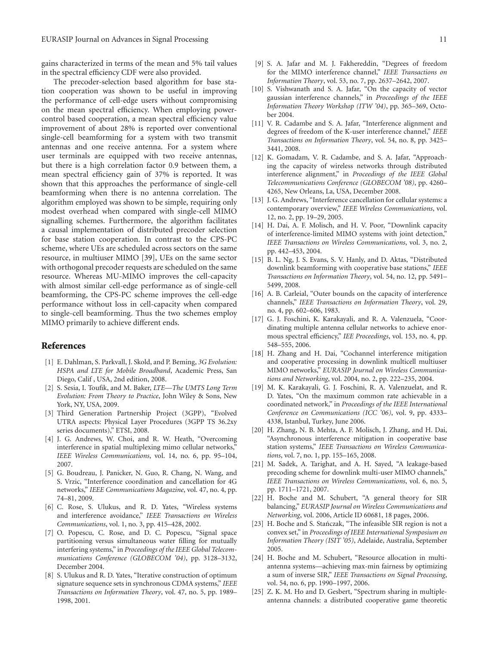gains characterized in terms of the mean and 5% tail values in the spectral efficiency CDF were also provided.

The precoder-selection based algorithm for base station cooperation was shown to be useful in improving the performance of cell-edge users without compromising on the mean spectral efficiency. When employing powercontrol based cooperation, a mean spectral efficiency value improvement of about 28% is reported over conventional single-cell beamforming for a system with two transmit antennas and one receive antenna. For a system where user terminals are equipped with two receive antennas, but there is a high correlation factor 0.9 between them, a mean spectral efficiency gain of 37% is reported. It was shown that this approaches the performance of single-cell beamforming when there is no antenna correlation. The algorithm employed was shown to be simple, requiring only modest overhead when compared with single-cell MIMO signalling schemes. Furthermore, the algorithm facilitates a causal implementation of distributed precoder selection for base station cooperation. In contrast to the CPS-PC scheme, where UEs are scheduled across sectors on the same resource, in multiuser MIMO [39], UEs on the same sector with orthogonal precoder requests are scheduled on the same resource. Whereas MU-MIMO improves the cell-capacity with almost similar cell-edge performance as of single-cell beamforming, the CPS-PC scheme improves the cell-edge performance without loss in cell-capacity when compared to single-cell beamforming. Thus the two schemes employ MIMO primarily to achieve different ends.

#### **References**

- [1] E. Dahlman, S. Parkvall, J. Skold, and P. Beming, *3G Evolution: HSPA and LTE for Mobile Broadband*, Academic Press, San Diego, Calif , USA, 2nd edition, 2008.
- [2] S. Sesia, I. Toufik, and M. Baker, *LTE—The UMTS Long Term Evolution: From Theory to Practice*, John Wiley & Sons, New York, NY, USA, 2009.
- [3] Third Generation Partnership Project (3GPP), "Evolved UTRA aspects: Physical Layer Procedures (3GPP TS 36.2xy series documents)," ETSI, 2008.
- [4] J. G. Andrews, W. Choi, and R. W. Heath, "Overcoming interference in spatial multiplexing mimo cellular networks," *IEEE Wireless Communications*, vol. 14, no. 6, pp. 95–104, 2007.
- [5] G. Boudreau, J. Panicker, N. Guo, R. Chang, N. Wang, and S. Vrzic, "Interference coordination and cancellation for 4G networks," *IEEE Communications Magazine*, vol. 47, no. 4, pp. 74–81, 2009.
- [6] C. Rose, S. Ulukus, and R. D. Yates, "Wireless systems and interference avoidance," *IEEE Transactions on Wireless Communications*, vol. 1, no. 3, pp. 415–428, 2002.
- [7] O. Popescu, C. Rose, and D. C. Popescu, "Signal space partitioning versus simultaneous water filling for mutually interfering systems," in *Proceedings of the IEEE Global Telecommunications Conference (GLOBECOM '04)*, pp. 3128–3132, December 2004.
- [8] S. Ulukus and R. D. Yates, "Iterative construction of optimum signature sequence sets in synchronous CDMA systems," *IEEE Transactions on Information Theory*, vol. 47, no. 5, pp. 1989– 1998, 2001.
- [9] S. A. Jafar and M. J. Fakhereddin, "Degrees of freedom for the MIMO interference channel," *IEEE Transactions on Information Theory*, vol. 53, no. 7, pp. 2637–2642, 2007.
- [10] S. Vishwanath and S. A. Jafar, "On the capacity of vector gaussian interference channels," in *Proceedings of the IEEE Information Theory Workshop (ITW '04)*, pp. 365–369, October 2004.
- [11] V. R. Cadambe and S. A. Jafar, "Interference alignment and degrees of freedom of the K-user interference channel," *IEEE Transactions on Information Theory*, vol. 54, no. 8, pp. 3425– 3441, 2008.
- [12] K. Gomadam, V. R. Cadambe, and S. A. Jafar, "Approaching the capacity of wireless networks through distributed interference alignment," in *Proceedings of the IEEE Global Telecommunications Conference (GLOBECOM '08)*, pp. 4260– 4265, New Orleans, La, USA, December 2008.
- [13] J. G. Andrews, "Interference cancellation for cellular systems: a contemporary overview," *IEEE Wireless Communications*, vol. 12, no. 2, pp. 19–29, 2005.
- [14] H. Dai, A. F. Molisch, and H. V. Poor, "Downlink capacity of interference-limited MIMO systems with joint detection," *IEEE Transactions on Wireless Communications*, vol. 3, no. 2, pp. 442–453, 2004.
- [15] B. L. Ng, J. S. Evans, S. V. Hanly, and D. Aktas, "Distributed downlink beamforming with cooperative base stations," *IEEE Transactions on Information Theory*, vol. 54, no. 12, pp. 5491– 5499, 2008.
- [16] A. B. Carleial, "Outer bounds on the capacity of interference channels," *IEEE Transactions on Information Theory*, vol. 29, no. 4, pp. 602–606, 1983.
- [17] G. J. Foschini, K. Karakayali, and R. A. Valenzuela, "Coordinating multiple antenna cellular networks to achieve enormous spectral efficiency," *IEE Proceedings*, vol. 153, no. 4, pp. 548–555, 2006.
- [18] H. Zhang and H. Dai, "Cochannel interference mitigation and cooperative processing in downlink multicell multiuser MIMO networks," *EURASIP Journal on Wireless Communications and Networking*, vol. 2004, no. 2, pp. 222–235, 2004.
- [19] M. K. Karakayali, G. J. Foschini, R. A. Valenzuelat, and R. D. Yates, "On the maximum common rate achievable in a coordinated network," in *Proceedings of the IEEE International Conference on Communications (ICC '06)*, vol. 9, pp. 4333– 4338, Istanbul, Turkey, June 2006.
- [20] H. Zhang, N. B. Mehta, A. F. Molisch, J. Zhang, and H. Dai, "Asynchronous interference mitigation in cooperative base station systems," *IEEE Transactions on Wireless Communications*, vol. 7, no. 1, pp. 155–165, 2008.
- [21] M. Sadek, A. Tarighat, and A. H. Sayed, "A leakage-based precoding scheme for downlink multi-user MIMO channels," *IEEE Transactions on Wireless Communications*, vol. 6, no. 5, pp. 1711–1721, 2007.
- [22] H. Boche and M. Schubert, "A general theory for SIR balancing," *EURASIP Journal on Wireless Communications and Networking*, vol. 2006, Article ID 60681, 18 pages, 2006.
- [23] H. Boche and S. Stańczak, "The infeasible SIR region is not a convex set," in *Proceedings of IEEE International Symposium on Information Theory (ISIT '05)*, Adelaide, Australia, September 2005.
- [24] H. Boche and M. Schubert, "Resource allocation in multiantenna systems—achieving max-min fairness by optimizing a sum of inverse SIR," *IEEE Transactions on Signal Processing*, vol. 54, no. 6, pp. 1990–1997, 2006.
- [25] Z. K. M. Ho and D. Gesbert, "Spectrum sharing in multipleantenna channels: a distributed cooperative game theoretic